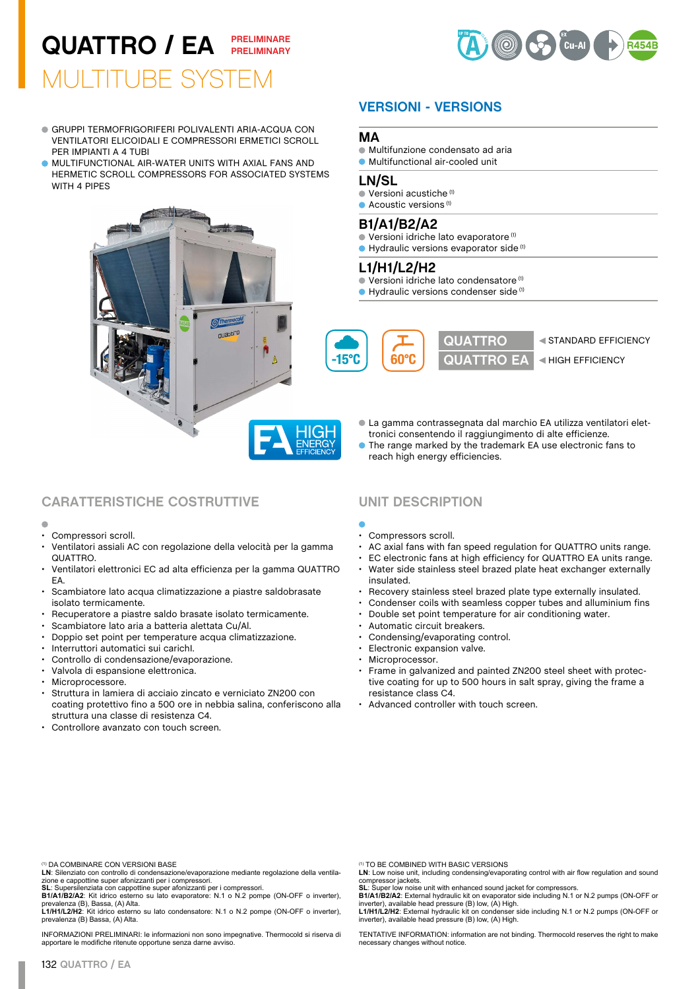## MULTITUBE SYSTEM QUATTRO / EA **PRELIMINARE PRELIMINARY**

GRUPPI TERMOFRIGORIFERI POLIVALENTI ARIA-ACQUA CON VENTILATORI ELICOIDALI E COMPRESSORI ERMETICI SCROLL

MULTIFUNCTIONAL AIR-WATER UNITS WITH AXIAL FANS AND HERMETIC SCROLL COMPRESSORS FOR ASSOCIATED SYSTEMS

> **S**Therma nuastro

PER IMPIANTI A 4 TUBI

WITH 4 PIPES



# **VERSIONI - VERSIONS**

### **MA**

- Multifunzione condensato ad aria
- Multifunctional air-cooled unit

### **LN/SL**

- Versioni acustiche (1)
- $\bullet$  Acoustic versions  $(1)$

### **B1/A1/B2/A2**

- Versioni idriche lato evaporatore (1)
- Hydraulic versions evaporator side<sup>(1)</sup>

### **L1/H1/L2/H2**

- Versioni idriche lato condensatore (1)
- Hydraulic versions condenser side<sup>(1)</sup>



- La gamma contrassegnata dal marchio EA utilizza ventilatori elettronici consentendo il raggiungimento di alte efficienze.
- The range marked by the trademark EA use electronic fans to reach high energy efficiencies.

## **CARATTERISTICHE COSTRUTTIVE UNIT DESCRIPTION**

- Compressori scroll.
- Ventilatori assiali AC con regolazione della velocità per la gamma QUATTRO.
- Ventilatori elettronici EC ad alta efficienza per la gamma QUATTRO EA.
- Scambiatore lato acqua climatizzazione a piastre saldobrasate isolato termicamente.
- Recuperatore a piastre saldo brasate isolato termicamente.
- Scambiatore lato aria a batteria alettata Cu/Al.<br>• Doppio set point per temperature acqua clima
- Doppio set point per temperature acqua climatizzazione.
- Interruttori automatici sui carichI.
- Controllo di condensazione/evaporazione.
- Valvola di espansione elettronica.
- Microprocessore.
- Struttura in lamiera di acciaio zincato e verniciato ZN200 con coating protettivo fino a 500 ore in nebbia salina, conferiscono alla struttura una classe di resistenza C4.
- Controllore avanzato con touch screen.

- 
- Compressors scroll.
- AC axial fans with fan speed regulation for QUATTRO units range.
- EC electronic fans at high efficiency for QUATTRO EA units range.
- Water side stainless steel brazed plate heat exchanger externally insulated.
- Recovery stainless steel brazed plate type externally insulated.
- Condenser coils with seamless copper tubes and alluminium fins
- Double set point temperature for air conditioning water.
- Automatic circuit breakers.
- Condensing/evaporating control.
- Electronic expansion valve.
- Microprocessor.
- Frame in galvanized and painted ZN200 steel sheet with protective coating for up to 500 hours in salt spray, giving the frame a resistance class C4.
- Advanced controller with touch screen.

LN: Silenziato con controllo di condensazione/evaporazione mediante regolazione della ventila-<br>zione e cappottine super afonizzanti per i compressori.<br>SL: Supersilenziata con cappottine super afonizzanti per i compressori.

**L1/H1/L2/H2**: Kit idrico esterno su lato condensatore: N.1 o N.2 pompe (ON-OFF o inverter),<br>prevalenza (B) Bassa, (A) Alta.

INFORMAZIONI PRELIMINARI: le informazioni non sono impegnative. Thermocold si riserva di apportare le modifiche ritenute opportune senza darne avviso.

(1) TO BE COMBINED WITH BASIC VERSIONS

LN: Low noise unit, including condensing/evaporating control with air flow regulation and sound compressor jackets. **SL**: Super low noise unit with enhanced sound jacket for compressors.

**B1/A1/B2/A2**: External hydraulic kit on evaporator side including N.1 or N.2 pumps (ON-OFF or inverter), available head pressure (B) low, (A) High. **L1/H1/L2/H2**: External hydraulic kit on condenser side including N.1 or N.2 pumps (ON-OFF or inverter), available head pressure (B) low, (A) High.

TENTATIVE INFORMATION: information are not binding. Thermocold reserves the right to make necessary changes without notice.

<sup>(1)</sup> DA COMBINARE CON VERSIONI BASE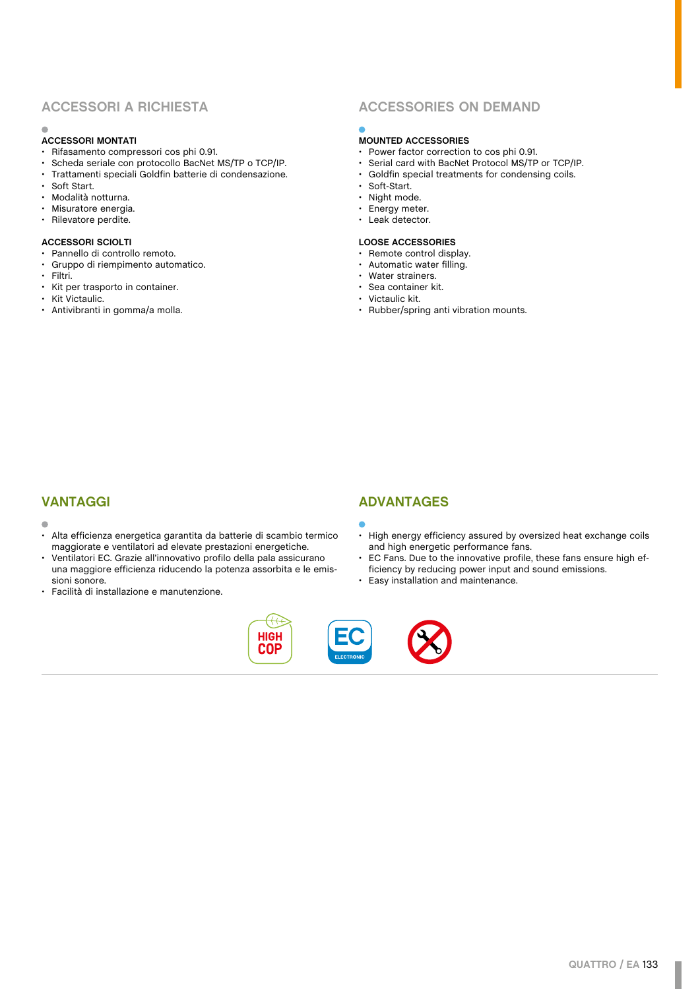### **ACCESSORI MONTATI**

- Rifasamento compressori cos phi 0.91.
- Scheda seriale con protocollo BacNet MS/TP o TCP/IP.
- Trattamenti speciali Goldfin batterie di condensazione.<br>• Soft Start
- Soft Start.
- Modalità notturna.
- Misuratore energia.
- Rilevatore perdite.

### **ACCESSORI SCIOLTI**

- Pannello di controllo remoto.
- Gruppo di riempimento automatico.
- Filtri.<br>• Kit n
- Kit per trasporto in container.
- Kit Victaulic.
- Antivibranti in gomma/a molla.

## **ACCESSORI A RICHIESTA ACCESSORIES ON DEMAND**

### **MOUNTED ACCESSORIES**

- Power factor correction to cos phi 0.91.
- Serial card with BacNet Protocol MS/TP or TCP/IP.
- Goldfin special treatments for condensing coils.<br>• Soft-Start • Soft-Start.
- 
- Night mode.
- Energy meter.
- Leak detector.

### **LOOSE ACCESSORIES**

- Remote control display.
- Automatic water filling.
- Water strainers.
- Sea container kit.
- Victaulic kit.<br>• Bubber/spri • Rubber/spring anti vibration mounts.

#### $\mathfrak{g}$

- Alta efficienza energetica garantita da batterie di scambio termico maggiorate e ventilatori ad elevate prestazioni energetiche.
- Ventilatori EC. Grazie all'innovativo profilo della pala assicurano una maggiore efficienza riducendo la potenza assorbita e le emissioni sonore.
- Facilità di installazione e manutenzione.

### **VANTAGGI ADVANTAGES**



- High energy efficiency assured by oversized heat exchange coils and high energetic performance fans.
- EC Fans. Due to the innovative profile, these fans ensure high efficiency by reducing power input and sound emissions.
- Easy installation and maintenance.

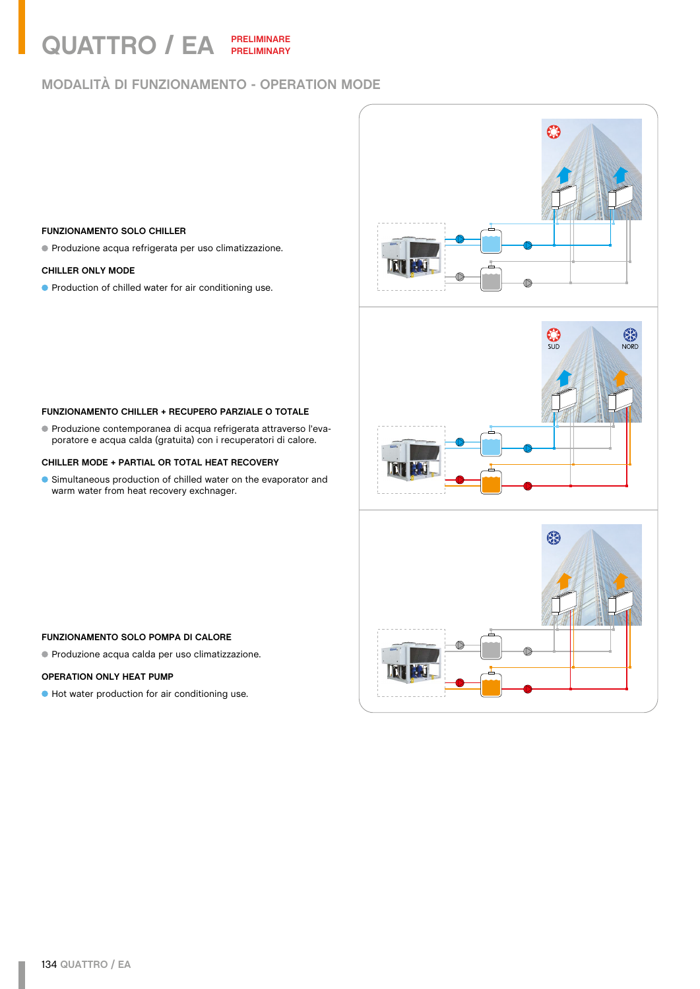# QUATTRO / EA **PRELIMINARE PRELIMINARY**

# **MODALITÀ DI FUNZIONAMENTO - OPERATION MODE**

### **FUNZIONAMENTO SOLO CHILLER**

Produzione acqua refrigerata per uso climatizzazione.

#### **CHILLER ONLY MODE**

**•** Production of chilled water for air conditioning use.







### **FUNZIONAMENTO CHILLER + RECUPERO PARZIALE O TOTALE**

Produzione contemporanea di acqua refrigerata attraverso l'evaporatore e acqua calda (gratuita) con i recuperatori di calore.

#### **CHILLER MODE + PARTIAL OR TOTAL HEAT RECOVERY**

Simultaneous production of chilled water on the evaporator and warm water from heat recovery exchnager.

## **FUNZIONAMENTO SOLO POMPA DI CALORE**

Produzione acqua calda per uso climatizzazione.

## **OPERATION ONLY HEAT PUMP**

Hot water production for air conditioning use.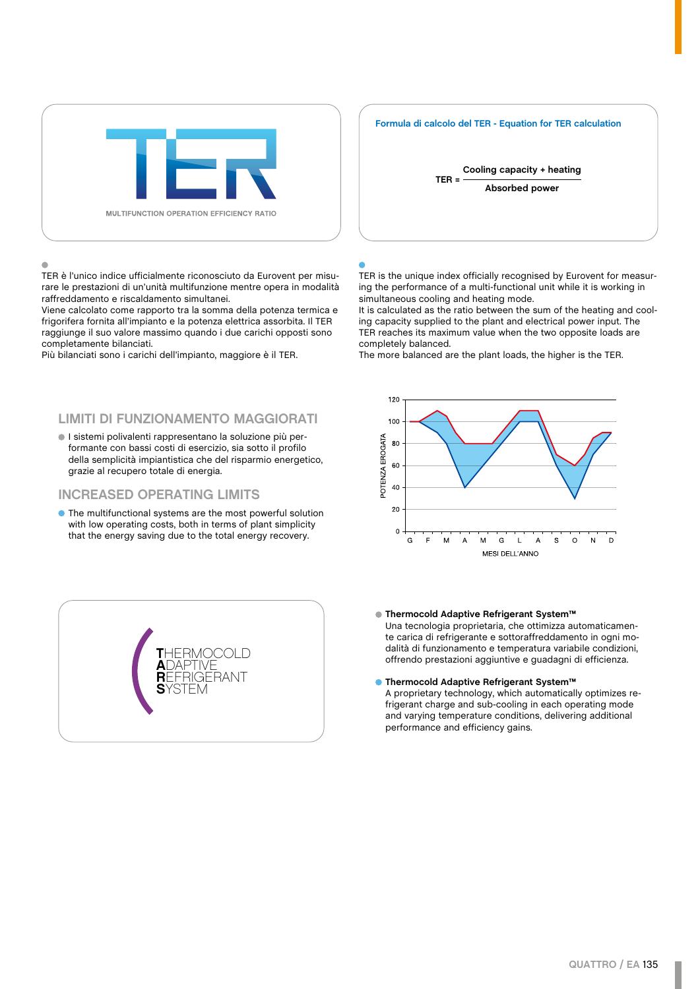

TER è l'unico indice ufficialmente riconosciuto da Eurovent per misurare le prestazioni di un'unità multifunzione mentre opera in modalità raffreddamento e riscaldamento simultanei.

Viene calcolato come rapporto tra la somma della potenza termica e frigorifera fornita all'impianto e la potenza elettrica assorbita. Il TER raggiunge il suo valore massimo quando i due carichi opposti sono completamente bilanciati.

Più bilanciati sono i carichi dell'impianto, maggiore è il TER.

## **LIMITI DI FUNZIONAMENTO MAGGIORATI**

I sistemi polivalenti rappresentano la soluzione più performante con bassi costi di esercizio, sia sotto il profilo della semplicità impiantistica che del risparmio energetico, grazie al recupero totale di energia.

### **INCREASED OPERATING LIMITS**

The multifunctional systems are the most powerful solution with low operating costs, both in terms of plant simplicity that the energy saving due to the total energy recovery.



#### **Formula di calcolo del TER - Equation for TER calculation**



TER is the unique index officially recognised by Eurovent for measuring the performance of a multi-functional unit while it is working in simultaneous cooling and heating mode.

It is calculated as the ratio between the sum of the heating and cooling capacity supplied to the plant and electrical power input. The TER reaches its maximum value when the two opposite loads are completely balanced.

The more balanced are the plant loads, the higher is the TER.



**Thermocold Adaptive Refrigerant System™** Una tecnologia proprietaria, che ottimizza automaticamente carica di refrigerante e sottoraffreddamento in ogni modalità di funzionamento e temperatura variabile condizioni, offrendo prestazioni aggiuntive e guadagni di efficienza.

#### **Thermocold Adaptive Refrigerant System™**

A proprietary technology, which automatically optimizes refrigerant charge and sub-cooling in each operating mode and varying temperature conditions, delivering additional performance and efficiency gains.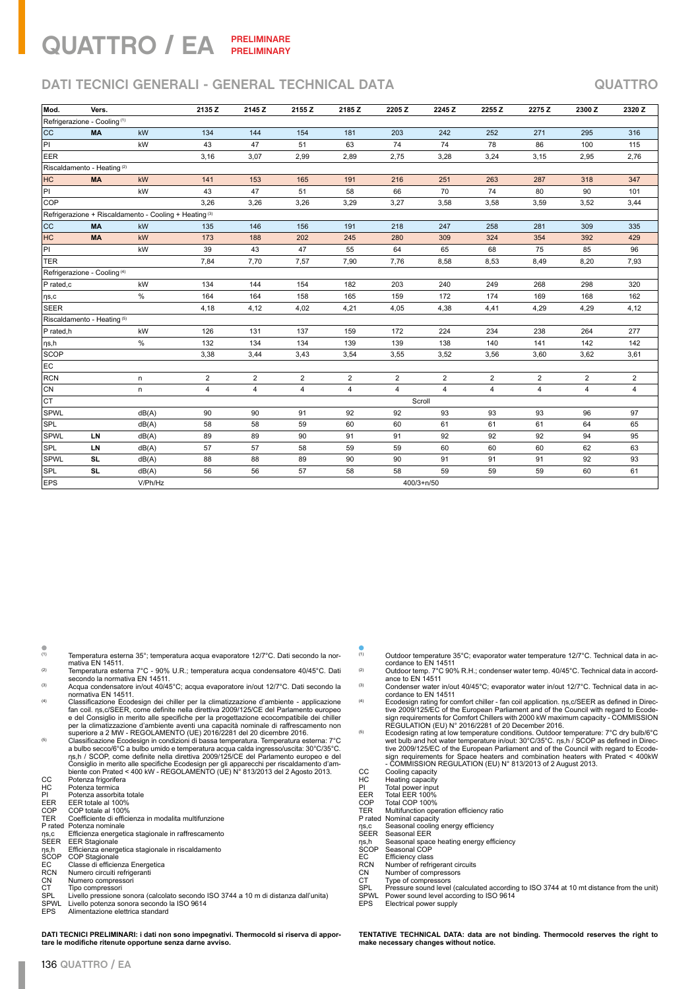## QUATTRO / EA **PRELIMINARE PRELIMINARY**

# **DATI TECNICI GENERALI - GENERAL TECHNICAL DATA QUATTRO**

| Mod.                                    | Vers.                                   |                                                        | 2135 Z         | 2145 Z         | 2155 Z         | 2185 Z         | 2205Z          | 2245 Z         | 2255 Z         | 2275 Z         | 2300 Z         | 2320 Z         |
|-----------------------------------------|-----------------------------------------|--------------------------------------------------------|----------------|----------------|----------------|----------------|----------------|----------------|----------------|----------------|----------------|----------------|
| Refrigerazione - Cooling <sup>(1)</sup> |                                         |                                                        |                |                |                |                |                |                |                |                |                |                |
| <b>CC</b>                               | <b>MA</b>                               | kW                                                     | 134            | 144            | 154            | 181            | 203            | 242            | 252            | 271            | 295            | 316            |
| P                                       |                                         | kW                                                     | 43             | 47             | 51             | 63             | 74             | 74             | 78             | 86             | 100            | 115            |
| <b>EER</b>                              |                                         |                                                        | 3,16           | 3,07           | 2,99           | 2,89           | 2,75           | 3,28           | 3,24           | 3,15           | 2,95           | 2,76           |
|                                         | Riscaldamento - Heating <sup>(2)</sup>  |                                                        |                |                |                |                |                |                |                |                |                |                |
| HC                                      | <b>MA</b>                               | kW                                                     | 141            | 153            | 165            | 191            | 216            | 251            | 263            | 287            | 318            | 347            |
| PI                                      |                                         | kW                                                     | 43             | 47             | 51             | 58             | 66             | 70             | 74             | 80             | 90             | 101            |
| <b>COP</b>                              |                                         |                                                        | 3,26           | 3,26           | 3,26           | 3,29           | 3,27           | 3,58           | 3,58           | 3,59           | 3,52           | 3,44           |
|                                         |                                         | Refrigerazione + Riscaldamento - Cooling + Heating (3) |                |                |                |                |                |                |                |                |                |                |
| <b>CC</b>                               | <b>MA</b>                               | kW                                                     | 135            | 146            | 156            | 191            | 218            | 247            | 258            | 281            | 309            | 335            |
| HC                                      | <b>MA</b>                               | kW                                                     | 173            | 188            | 202            | 245            | 280            | 309            | 324            | 354            | 392            | 429            |
| PI                                      |                                         | kW                                                     | 39             | 43             | 47             | 55             | 64             | 65             | 68             | 75             | 85             | 96             |
| TER                                     |                                         |                                                        | 7,84           | 7,70           | 7,57           | 7,90           | 7,76           | 8,58           | 8,53           | 8,49           | 8,20           | 7,93           |
|                                         | Refrigerazione - Cooling <sup>(4)</sup> |                                                        |                |                |                |                |                |                |                |                |                |                |
| P rated,c                               |                                         | kW                                                     | 134            | 144            | 154            | 182            | 203            | 240            | 249            | 268            | 298            | 320            |
| $  \eta$ s,c                            |                                         | $\%$                                                   | 164            | 164            | 158            | 165            | 159            | 172            | 174            | 169            | 168            | 162            |
| <b>SEER</b>                             |                                         |                                                        | 4,18           | 4,12           | 4,02           | 4,21           | 4,05           | 4,38           | 4,41           | 4,29           | 4,29           | 4,12           |
|                                         | Riscaldamento - Heating (5)             |                                                        |                |                |                |                |                |                |                |                |                |                |
| P rated,h                               |                                         | kW                                                     | 126            | 131            | 137            | 159            | 172            | 224            | 234            | 238            | 264            | 277            |
| $ $ ŋs,h                                |                                         | %                                                      | 132            | 134            | 134            | 139            | 139            | 138            | 140            | 141            | 142            | 142            |
| SCOP                                    |                                         |                                                        | 3,38           | 3,44           | 3,43           | 3,54           | 3,55           | 3,52           | 3,56           | 3,60           | 3,62           | 3,61           |
| EC                                      |                                         |                                                        |                |                |                |                |                |                |                |                |                |                |
| <b>RCN</b>                              |                                         | n                                                      | $\overline{2}$ | $\overline{2}$ | $\overline{2}$ | $\overline{2}$ | $\overline{2}$ | $\overline{2}$ | $\overline{2}$ | $\overline{2}$ | $\overline{2}$ | $\overline{2}$ |
| ∣CN                                     |                                         | n                                                      | 4              | 4              | 4              | 4              | 4              | 4              | 4              | 4              | 4              | 4              |
| Iст                                     |                                         |                                                        |                |                |                |                |                | Scroll         |                |                |                |                |
| <b>SPWL</b>                             |                                         | dB(A)                                                  | 90             | 90             | 91             | 92             | 92             | 93             | 93             | 93             | 96             | 97             |
| <b>SPL</b>                              |                                         | dB(A)                                                  | 58             | 58             | 59             | 60             | 60             | 61             | 61             | 61             | 64             | 65             |
| <b>SPWL</b>                             | LN                                      | dB(A)                                                  | 89             | 89             | 90             | 91             | 91             | 92             | 92             | 92             | 94             | 95             |
| <b>SPL</b>                              | LN                                      | dB(A)                                                  | 57             | 57             | 58             | 59             | 59             | 60             | 60             | 60             | 62             | 63             |
| <b>SPWL</b>                             | <b>SL</b>                               | dB(A)                                                  | 88             | 88             | 89             | 90             | 90             | 91             | 91             | 91             | 92             | 93             |
| <b>SPL</b>                              | <b>SL</b>                               | dB(A)                                                  | 56             | 56             | 57             | 58             | 58             | 59             | 59             | 59             | 60             | 61             |
| <b>EPS</b>                              |                                         | V/Ph/Hz                                                |                |                |                |                |                | $400/3 + n/50$ |                |                |                |                |

 $(1)$  Temperatura esterna 35°; temperatura acqua evaporatore 12/7°C. Dati secondo la nornemperatura esterna 35 , temperatura acqua evaporatore 12/7 C. Dati secondo la non-<br>mativa EN 14511.<br>Temperatura esterna 7°C - 90% U.R.; temperatura acqua condensatore 40/45°C. Dati

- 
- <sup>(2)</sup> Temperatura esterna 7°C 90% U.R.; temperatura acqua condensatore 40/45°C. Dati<br>secondo la normativa EN 14511.<br>Acqua condensatore in/out 40/45°C; acqua evaporatore in/out 12/7°C. Dati secondo la<br>normativa EN 14511.
- (4) Classificazione Ecodesign dei chiller per la climatizzazione d'ambiente applicazione fan coil. ηs,c/SEER, come definite nella direttiva 2009/125/CE del Parlamento europeo e del Consiglio in merito alle specifiche per la progettazione ecocompatibile dei chiller<br>per la climatizzazione d'ambiente aventi una capacità nominale di raffrescamento non<br>superiore a 2 MW - REGOLAMENTO (UE) 2016/2281 d
- Classificazione Ecodesign in condizioni di bassa temperatura. Temperatura esterna: 7°C<br>a bulbo secco/6°C a bulbo umido e temperatura acqua calda ingresso/uscita: 30°C/35°C.<br>ns, h / SCOP, come definite nella diretiva 2009/
- 
- CC Potenza frigorifera<br>
HC Potenza termica<br>
PI Potenza assorbita Potenza termica
- 
- 
- PI Potenza assorbita totale<br>
EER EER totale al 100%<br>
COP COP totale al 100%<br>
TER Coefficiente di efficienza EER EER totale al 100%<br>COP COP totale al 100%<br>TER Coefficiente di efficienza in modalita multifunzione
- P rated Potenza nominale
- 1 Taco Fortuna nominato<br>ηs,c Efficienza energetica stagionale in raffrescamento<br>SEER EER Stagionale
- SEER EER Stagionale ηs,h Efficienza energetica stagionale in riscaldamento SCOP COP Stagionale
- 
- 
- EC Classe di efficienza Energetica<br>
RCN Numero circuiti refrigeranti<br>
CN Numero compressori<br>
CT Tipo compressori Numero circuiti refrigeranti
- Numero compressori
- CT Tipo compressori<br>SPL Livello pressione
- SPL Livello pressione sonora (calcolato secondo ISO 3744 a 10 m di distanza dall'unita) SPWL Livello potenza sonora secondo la ISO 9614
- EPS Alimentazione elettrica standard

**DATI TECNICI PRELIMINARI: i dati non sono impegnativi. Thermocold si riserva di apportare le modifiche ritenute opportune senza darne avviso.**

- $(1)$  Outdoor temperature 35°C; evaporator water temperature 12/7°C. Technical data in accordance to EN 14511
- <sup>(2)</sup> Outdoor temp. 7°C 90% R.H.; condenser water temp. 40/45°C. Technical data in accord-<br>ance to EN 14511
- <sup>(3)</sup> Condenser water in/out 40/45°C; evaporator water in/out 12/7°C. Technical data in ac-<br>cordance to EN 14511
- (4) Ecodesign rating for comfort chiller fan coil application. ηs,c/SEER as defined in Direc-tive 2009/125/EC of the European Parliament and of the Council with regard to Ecode-
- sign requirements for Comfort Chillers with 2000 kW maximum capacity COMMISSION<br>REGULATION (EU) N° 2016/2281 of 20 December 2016.<br>Ecodesign rating at low temperature conditions. Outdoor temperature: 7°C dry bulb/6°C<br>wet sign requirements for Space heaters and combination heaters with Prated < 400kW - COMMISSION REGULATION (EU) N° 813/2013 of 2 August 2013. CC Cooling capacity
- 
- HC Heating capacity PI Total power input EER Total EER 100% COP Total COP 100%
- 
- 
- 
- TER Multifunction operation efficiency ratio P rated Nominal capacity
- 
- Prated Nominal capacity<br>ns,c Seasonal cooling energy efficiency<br>SEER Seasonal EER
- SEER Seasonal EER<br>
ns,h Seasonal space<br>
SCOP Seasonal COP
- ηs,h Seasonal space heating energy efficiency SCOP Seasonal COP
- 
- SCOP Seasonal COP<br>EC Efficiency class<br>RCN Number of refrig
- Number of compressors
- 
- RCN Number of refrigerant circuits<br>CN Number of compressors<br>CT Type of compressors<br>SPL Pressure sound level (calcula CT Type of compressors<br>SPL Pressure sound level (calculated according to ISO 3744 at 10 mt distance from the unit) SPWL Power sound level according to ISO 9614<br>EPS Electrical power supply
- Electrical power supply

**TENTATIVE TECHNICAL DATA: data are not binding. Thermocold reserves the right to make necessary changes without notice.**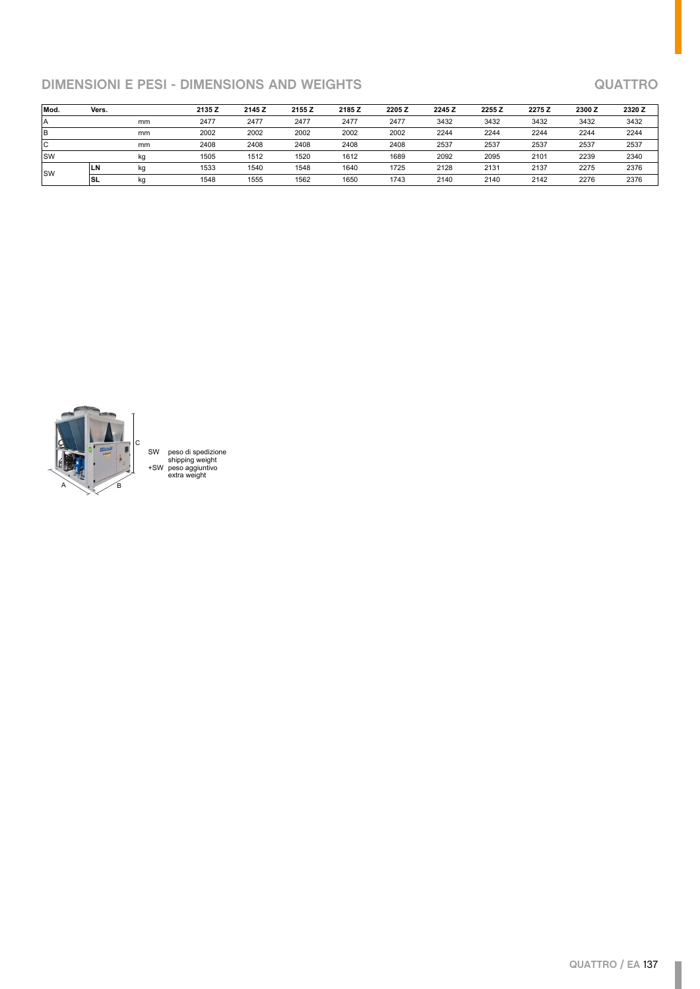# **DIMENSIONI E PESI - DIMENSIONS AND WEIGHTS QUATTRO**

| Mod.       | Vers. |    | 2135 Z | 2145 Z | 2155 Z | 2185 Z | 2205 Z | 2245 Z | 2255 Z | 2275 Z | 2300 Z | 2320 Z |
|------------|-------|----|--------|--------|--------|--------|--------|--------|--------|--------|--------|--------|
| ۱A         |       | mm | 2477   | 2477   | 2477   | 2477   | 2477   | 3432   | 3432   | 3432   | 3432   | 3432   |
| lВ         |       | mm | 2002   | 2002   | 2002   | 2002   | 2002   | 2244   | 2244   | 2244   | 2244   | 2244   |
| lc         |       | mm | 2408   | 2408   | 2408   | 2408   | 2408   | 2537   | 2537   | 2537   | 2537   | 2537   |
| lsw        |       | kg | 1505   | 1512   | 1520   | 1612   | 1689   | 2092   | 2095   | 2101   | 2239   | 2340   |
| <b>ISW</b> | LN    | kg | 1533   | 1540   | 1548   | 1640   | 1725   | 2128   | 2131   | 2137   | 2275   | 2376   |
|            | ISL   | kq | 1548   | 1555   | 1562   | 1650   | 1743   | 2140   | 2140   | 2142   | 2276   | 2376   |



SW peso di spedizione shipping weight +SW peso aggiuntivo extra weight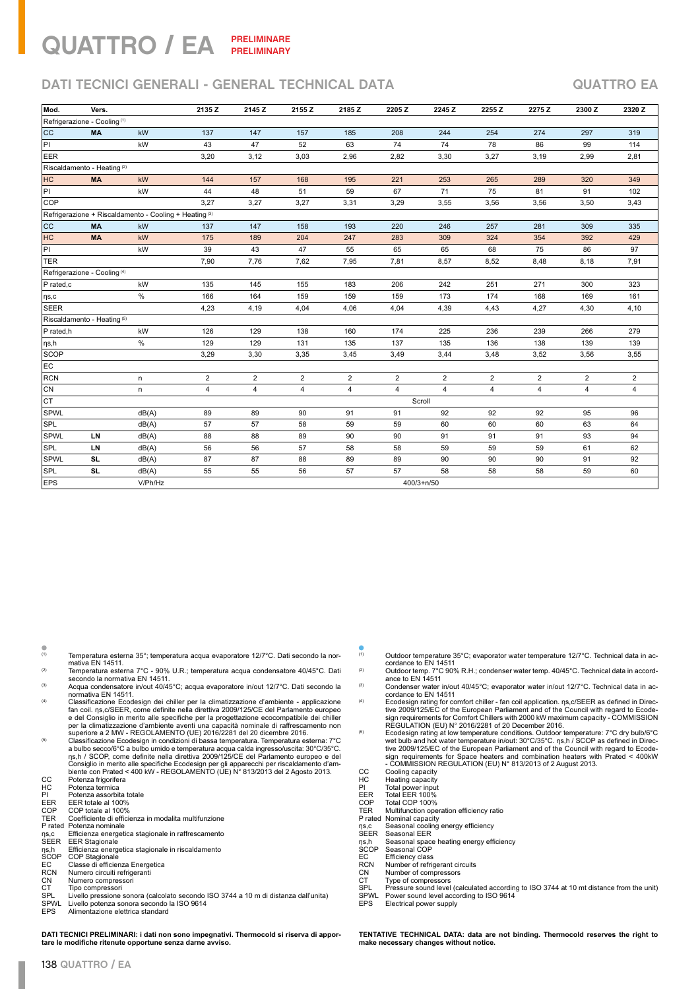## QUATTRO / EA **PRELIMINARE PRELIMINARY**

# **DATI TECNICI GENERALI - GENERAL TECHNICAL DATA QUATTRO EA**

| Mod.                                    | Vers.                                   |                                                                   | 2135 Z         | 2145 Z                  | 2155 Z         | 2185 Z         | 2205Z          | 2245 Z         | 2255 Z         | 2275 Z         | 2300 Z         | 2320 Z         |
|-----------------------------------------|-----------------------------------------|-------------------------------------------------------------------|----------------|-------------------------|----------------|----------------|----------------|----------------|----------------|----------------|----------------|----------------|
| Refrigerazione - Cooling <sup>(1)</sup> |                                         |                                                                   |                |                         |                |                |                |                |                |                |                |                |
| <b>CC</b>                               | <b>MA</b>                               | kW                                                                | 137            | 147                     | 157            | 185            | 208            | 244            | 254            | 274            | 297            | 319            |
| PI                                      |                                         | kW                                                                | 43             | 47                      | 52             | 63             | 74             | 74             | 78             | 86             | 99             | 114            |
| EER                                     |                                         |                                                                   | 3,20           | 3,12                    | 3,03           | 2,96           | 2,82           | 3,30           | 3,27           | 3,19           | 2,99           | 2,81           |
|                                         | Riscaldamento - Heating <sup>(2)</sup>  |                                                                   |                |                         |                |                |                |                |                |                |                |                |
| HC                                      | <b>MA</b>                               | kW                                                                | 144            | 157                     | 168            | 195            | 221            | 253            | 265            | 289            | 320            | 349            |
| PI                                      |                                         | kW                                                                | 44             | 48                      | 51             | 59             | 67             | 71             | 75             | 81             | 91             | 102            |
| <b>COP</b>                              |                                         |                                                                   | 3,27           | 3,27                    | 3,27           | 3,31           | 3,29           | 3,55           | 3,56           | 3,56           | 3,50           | 3,43           |
|                                         |                                         | Refrigerazione + Riscaldamento - Cooling + Heating <sup>(3)</sup> |                |                         |                |                |                |                |                |                |                |                |
| <b>CC</b>                               | <b>MA</b>                               | kW                                                                | 137            | 147                     | 158            | 193            | 220            | 246            | 257            | 281            | 309            | 335            |
| HC                                      | <b>MA</b>                               | kW                                                                | 175            | 189                     | 204            | 247            | 283            | 309            | 324            | 354            | 392            | 429            |
| PI                                      |                                         | kW                                                                | 39             | 43                      | 47             | 55             | 65             | 65             | 68             | 75             | 86             | 97             |
| TER                                     |                                         |                                                                   | 7,90           | 7,76                    | 7,62           | 7,95           | 7,81           | 8,57           | 8,52           | 8,48           | 8,18           | 7,91           |
|                                         | Refrigerazione - Cooling <sup>(4)</sup> |                                                                   |                |                         |                |                |                |                |                |                |                |                |
| P rated,c                               |                                         | kW                                                                | 135            | 145                     | 155            | 183            | 206            | 242            | 251            | 271            | 300            | 323            |
| $ $ ns,c                                |                                         | $\%$                                                              | 166            | 164                     | 159            | 159            | 159            | 173            | 174            | 168            | 169            | 161            |
| <b>SEER</b>                             |                                         |                                                                   | 4,23           | 4,19                    | 4,04           | 4,06           | 4,04           | 4,39           | 4,43           | 4,27           | 4,30           | 4,10           |
|                                         | Riscaldamento - Heating <sup>(5)</sup>  |                                                                   |                |                         |                |                |                |                |                |                |                |                |
| P rated,h                               |                                         | kW                                                                | 126            | 129                     | 138            | 160            | 174            | 225            | 236            | 239            | 266            | 279            |
| $ $ ŋs,h                                |                                         | $\%$                                                              | 129            | 129                     | 131            | 135            | 137            | 135            | 136            | 138            | 139            | 139            |
| <b>SCOP</b>                             |                                         |                                                                   | 3,29           | 3,30                    | 3,35           | 3,45           | 3,49           | 3,44           | 3,48           | 3,52           | 3,56           | 3,55           |
| EC                                      |                                         |                                                                   |                |                         |                |                |                |                |                |                |                |                |
| <b>RCN</b>                              |                                         | n                                                                 | $\overline{2}$ | $\overline{\mathbf{c}}$ | 2              | $\overline{2}$ | $\overline{2}$ | $\overline{2}$ | $\overline{2}$ | $\overline{2}$ | $\overline{2}$ | $\overline{2}$ |
| CN                                      |                                         | n                                                                 | $\overline{4}$ | 4                       | $\overline{4}$ | $\overline{4}$ | $\overline{4}$ | $\overline{4}$ | $\overline{4}$ | $\overline{4}$ | $\overline{4}$ | 4              |
| CT                                      |                                         |                                                                   |                |                         |                |                |                | Scroll         |                |                |                |                |
| <b>SPWL</b>                             |                                         | dB(A)                                                             | 89             | 89                      | 90             | 91             | 91             | 92             | 92             | 92             | 95             | 96             |
| <b>SPL</b>                              |                                         | dB(A)                                                             | 57             | 57                      | 58             | 59             | 59             | 60             | 60             | 60             | 63             | 64             |
| <b>SPWL</b>                             | LN                                      | dB(A)                                                             | 88             | 88                      | 89             | 90             | 90             | 91             | 91             | 91             | 93             | 94             |
| <b>SPL</b>                              | LN                                      | dB(A)                                                             | 56             | 56                      | 57             | 58             | 58             | 59             | 59             | 59             | 61             | 62             |
| <b>SPWL</b>                             | <b>SL</b>                               | dB(A)                                                             | 87             | 87                      | 88             | 89             | 89             | 90             | 90             | 90             | 91             | 92             |
| <b>SPL</b>                              | <b>SL</b>                               | dB(A)                                                             | 55             | 55                      | 56             | 57             | 57             | 58             | 58             | 58             | 59             | 60             |
| <b>EPS</b>                              |                                         | V/Ph/Hz                                                           |                |                         |                |                |                | $400/3 + n/50$ |                |                |                |                |

 $(1)$  Temperatura esterna 35°; temperatura acqua evaporatore 12/7°C. Dati secondo la nornemperatura esterna 35 , temperatura acqua evaporatore 12/7 C. Dati secondo la non-<br>mativa EN 14511.<br>Temperatura esterna 7°C - 90% U.R.; temperatura acqua condensatore 40/45°C. Dati

- 
- <sup>(2)</sup> Temperatura esterna 7°C 90% U.R.; temperatura acqua condensatore 40/45°C. Dati<br>secondo la normativa EN 14511.<br>Acqua condensatore in/out 40/45°C; acqua evaporatore in/out 12/7°C. Dati secondo la<br>normativa EN 14511.
- (4) Classificazione Ecodesign dei chiller per la climatizzazione d'ambiente applicazione fan coil. ηs,c/SEER, come definite nella direttiva 2009/125/CE del Parlamento europeo e del Consiglio in merito alle specifiche per la progettazione ecocompatibile dei chiller<br>per la climatizzazione d'ambiente aventi una capacità nominale di raffrescamento non<br>superiore a 2 MW - REGOLAMENTO (UE) 2016/2281 d
- Classificazione Ecodesign in condizioni di bassa temperatura. Temperatura esterna: 7°C<br>a bulbo secco/6°C a bulbo umido e temperatura acqua calda ingresso/uscita: 30°C/35°C.<br>ns, h / SCOP, come definite nella diretiva 2009/
- 
- CC Potenza frigorifera<br>
HC Potenza termica<br>
PI Potenza assorbita Potenza termica
- 
- 
- PI Potenza assorbita totale<br>
EER EER totale al 100%<br>
COP COP totale al 100%<br>
TER Coefficiente di efficienza EER EER totale al 100%<br>COP COP totale al 100%<br>TER Coefficiente di efficienza in modalita multifunzione
- P rated Potenza nominale
- 1 Taco Fortuna nominato<br>ηs,c Efficienza energetica stagionale in raffrescamento<br>SEER EER Stagionale
- 
- SEER EER Stagionale ηs,h Efficienza energetica stagionale in riscaldamento SCOP COP Stagionale
- 
- 
- EC Classe di efficienza Energetica<br>
RCN Numero circuiti refrigeranti<br>
CN Numero compressori<br>
CT Tipo compressori Numero circuiti refrigeranti Numero compressori
- CT Tipo compressori<br>SPL Livello pressione
- SPL Livello pressione sonora (calcolato secondo ISO 3744 a 10 m di distanza dall'unita) SPWL Livello potenza sonora secondo la ISO 9614
- EPS Alimentazione elettrica standard
- 

**DATI TECNICI PRELIMINARI: i dati non sono impegnativi. Thermocold si riserva di apportare le modifiche ritenute opportune senza darne avviso.**

- $(1)$  Outdoor temperature 35°C; evaporator water temperature 12/7°C. Technical data in accordance to EN 14511
- <sup>(2)</sup> Outdoor temp. 7°C 90% R.H.; condenser water temp. 40/45°C. Technical data in accord-<br>ance to EN 14511
- <sup>(3)</sup> Condenser water in/out 40/45°C; evaporator water in/out 12/7°C. Technical data in ac-<br>cordance to EN 14511
- (4) Ecodesign rating for comfort chiller fan coil application. ηs,c/SEER as defined in Direc-tive 2009/125/EC of the European Parliament and of the Council with regard to Ecode-
- sign requirements for Comfort Chillers with 2000 kW maximum capacity COMMISSION<br>REGULATION (EU) N° 2016/2281 of 20 December 2016.<br>Ecodesign rating at low temperature conditions. Outdoor temperature: 7°C dry bulb/6°C<br>wet sign requirements for Space heaters and combination heaters with Prated < 400kW - COMMISSION REGULATION (EU) N° 813/2013 of 2 August 2013. CC Cooling capacity
- 
- HC Heating capacity PI Total power input EER Total EER 100% COP Total COP 100%
- 
- 
- 
- TER Multifunction operation efficiency ratio P rated Nominal capacity
- 
- Prated Nominal capacity<br>ns,c Seasonal cooling energy efficiency<br>SEER Seasonal EER
- SEER Seasonal EER<br>
ns,h Seasonal space<br>
SCOP Seasonal COP
- ηs,h Seasonal space heating energy efficiency SCOP Seasonal COP
- 
- SCOP Seasonal COP<br>EC Efficiency class<br>RCN Number of refrig
- Number of compressors
- 
- RCN Number of refrigerant circuits<br>CN Number of compressors<br>CT Type of compressors<br>SPL Pressure sound level (calcula CT Type of compressors<br>SPL Pressure sound level (calculated according to ISO 3744 at 10 mt distance from the unit) SPWL Power sound level according to ISO 9614<br>EPS Electrical power supply
- Electrical power supply

**TENTATIVE TECHNICAL DATA: data are not binding. Thermocold reserves the right to make necessary changes without notice.**